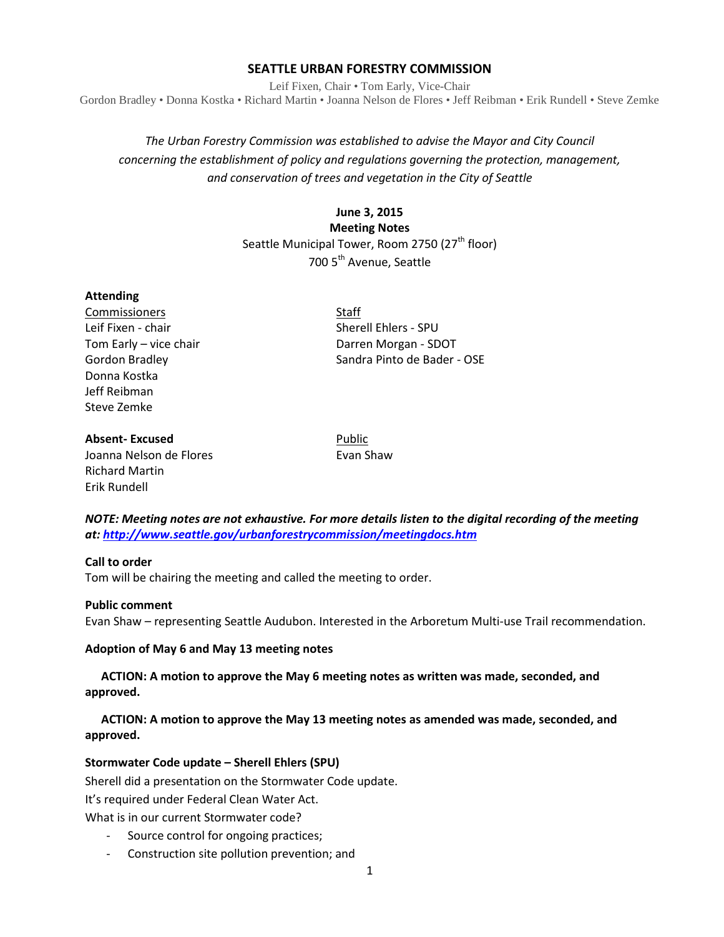# **SEATTLE URBAN FORESTRY COMMISSION**

Leif Fixen, Chair • Tom Early, Vice-Chair Gordon Bradley • Donna Kostka • Richard Martin • Joanna Nelson de Flores • Jeff Reibman • Erik Rundell • Steve Zemke

# *The Urban Forestry Commission was established to advise the Mayor and City Council concerning the establishment of policy and regulations governing the protection, management, and conservation of trees and vegetation in the City of Seattle*

# **June 3, 2015**

**Meeting Notes** Seattle Municipal Tower, Room 2750 (27<sup>th</sup> floor) 700 5th Avenue, Seattle

### **Attending**

Commissioners Staff Leif Fixen - chair Sherell Ehlers - SPU Donna Kostka Jeff Reibman Steve Zemke

Tom Early – vice chair **Darren Morgan** - SDOT Gordon Bradley Sandra Pinto de Bader - OSE

### **Absent-Excused** Public

Joanna Nelson de Flores **Evan Shaw** Richard Martin Erik Rundell

*NOTE: Meeting notes are not exhaustive. For more details listen to the digital recording of the meeting at:<http://www.seattle.gov/urbanforestrycommission/meetingdocs.htm>*

#### **Call to order**

Tom will be chairing the meeting and called the meeting to order.

#### **Public comment**

Evan Shaw – representing Seattle Audubon. Interested in the Arboretum Multi-use Trail recommendation.

#### **Adoption of May 6 and May 13 meeting notes**

**ACTION: A motion to approve the May 6 meeting notes as written was made, seconded, and approved.** 

# **ACTION: A motion to approve the May 13 meeting notes as amended was made, seconded, and approved.**

# **Stormwater Code update – Sherell Ehlers (SPU)**

Sherell did a presentation on the Stormwater Code update. It's required under Federal Clean Water Act. What is in our current Stormwater code?

- Source control for ongoing practices;
- Construction site pollution prevention; and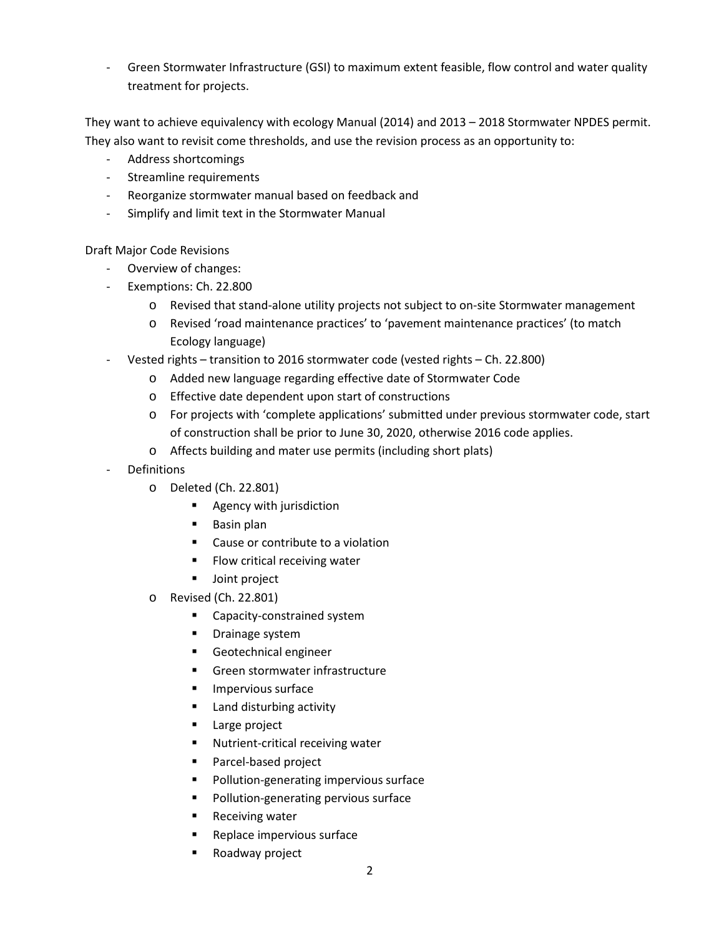Green Stormwater Infrastructure (GSI) to maximum extent feasible, flow control and water quality treatment for projects.

They want to achieve equivalency with ecology Manual (2014) and 2013 – 2018 Stormwater NPDES permit. They also want to revisit come thresholds, and use the revision process as an opportunity to:

- Address shortcomings
- Streamline requirements
- Reorganize stormwater manual based on feedback and
- Simplify and limit text in the Stormwater Manual

Draft Major Code Revisions

- Overview of changes:
- Exemptions: Ch. 22.800
	- o Revised that stand-alone utility projects not subject to on-site Stormwater management
	- o Revised 'road maintenance practices' to 'pavement maintenance practices' (to match Ecology language)
- Vested rights transition to 2016 stormwater code (vested rights Ch. 22.800)
	- o Added new language regarding effective date of Stormwater Code
	- o Effective date dependent upon start of constructions
	- o For projects with 'complete applications' submitted under previous stormwater code, start of construction shall be prior to June 30, 2020, otherwise 2016 code applies.
	- o Affects building and mater use permits (including short plats)
- **Definitions** 
	- o Deleted (Ch. 22.801)
		- **Agency with jurisdiction**
		- **Basin plan**
		- Cause or contribute to a violation
		- **Flow critical receiving water**
		- **Joint project**
	- o Revised (Ch. 22.801)
		- Capacity-constrained system
		- **•** Drainage system
		- Geotechnical engineer
		- Green stormwater infrastructure
		- **Impervious surface**
		- Land disturbing activity
		- **Large project**
		- Nutrient-critical receiving water
		- **Parcel-based project**
		- **Pollution-generating impervious surface**
		- **Pollution-generating pervious surface**
		- **Receiving water**
		- **Replace impervious surface**
		- Roadway project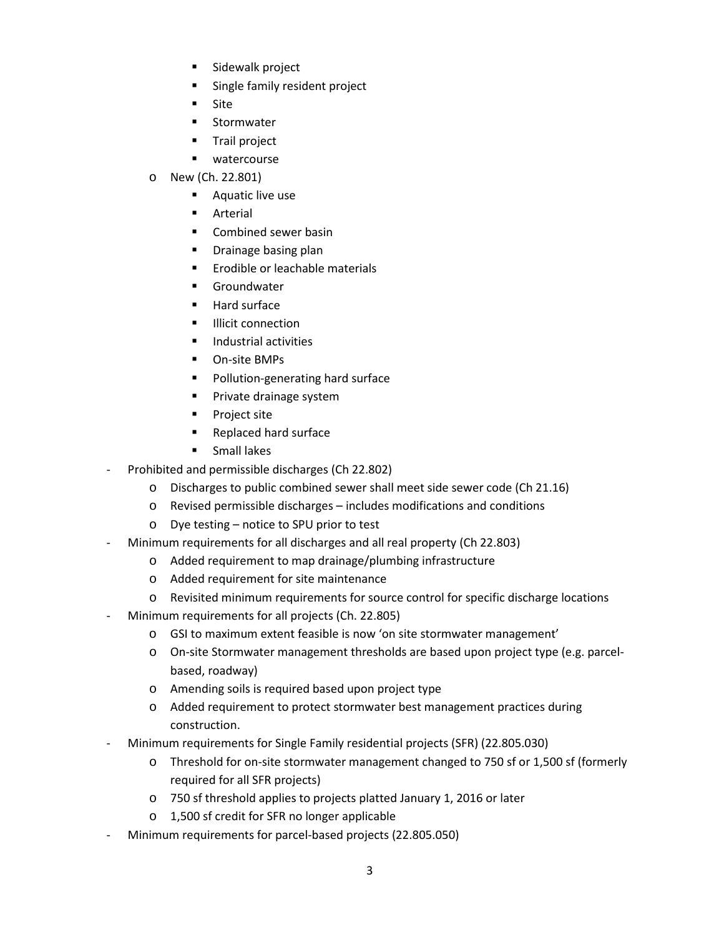- **Sidewalk project**
- **Single family resident project**
- **Site**
- **Stormwater**
- **Trail project**
- **u** watercourse
- o New (Ch. 22.801)
	- **Aquatic live use**
	- **Arterial**
	- Combined sewer basin
	- **Drainage basing plan**
	- **Example of Leachable materials**
	- **Groundwater**
	- **Hard surface**
	- **Illicit connection**
	- **Industrial activities**
	- **D** On-site BMPs
	- **Pollution-generating hard surface**
	- **Private drainage system**
	- **Project site**
	- Replaced hard surface
	- **Small lakes**
- Prohibited and permissible discharges (Ch 22.802)
	- o Discharges to public combined sewer shall meet side sewer code (Ch 21.16)
	- o Revised permissible discharges includes modifications and conditions
	- o Dye testing notice to SPU prior to test
- Minimum requirements for all discharges and all real property (Ch 22.803)
	- o Added requirement to map drainage/plumbing infrastructure
	- o Added requirement for site maintenance
	- o Revisited minimum requirements for source control for specific discharge locations
- Minimum requirements for all projects (Ch. 22.805)
	- o GSI to maximum extent feasible is now 'on site stormwater management'
	- o On-site Stormwater management thresholds are based upon project type (e.g. parcelbased, roadway)
	- o Amending soils is required based upon project type
	- o Added requirement to protect stormwater best management practices during construction.
- Minimum requirements for Single Family residential projects (SFR) (22.805.030)
	- o Threshold for on-site stormwater management changed to 750 sf or 1,500 sf (formerly required for all SFR projects)
	- o 750 sf threshold applies to projects platted January 1, 2016 or later
	- o 1,500 sf credit for SFR no longer applicable
- Minimum requirements for parcel-based projects (22.805.050)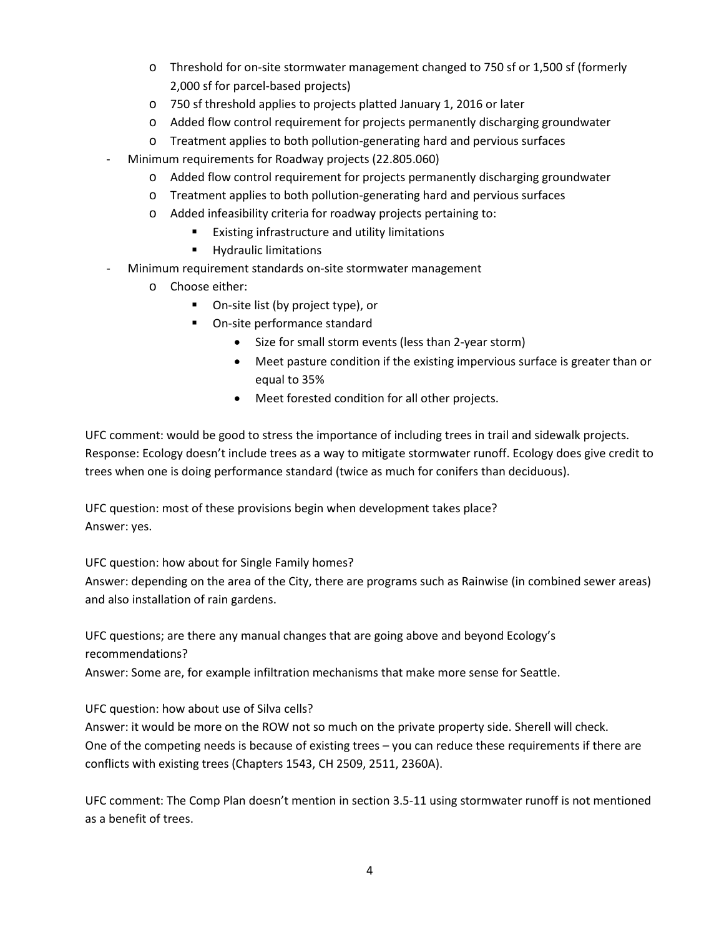- o Threshold for on-site stormwater management changed to 750 sf or 1,500 sf (formerly 2,000 sf for parcel-based projects)
- o 750 sf threshold applies to projects platted January 1, 2016 or later
- o Added flow control requirement for projects permanently discharging groundwater
- o Treatment applies to both pollution-generating hard and pervious surfaces
- Minimum requirements for Roadway projects (22.805.060)
	- o Added flow control requirement for projects permanently discharging groundwater
	- o Treatment applies to both pollution-generating hard and pervious surfaces
	- o Added infeasibility criteria for roadway projects pertaining to:
		- **Existing infrastructure and utility limitations**
		- **Hydraulic limitations**
- Minimum requirement standards on-site stormwater management
	- o Choose either:
		- On-site list (by project type), or
		- On-site performance standard
			- Size for small storm events (less than 2-year storm)
			- Meet pasture condition if the existing impervious surface is greater than or equal to 35%
			- Meet forested condition for all other projects.

UFC comment: would be good to stress the importance of including trees in trail and sidewalk projects. Response: Ecology doesn't include trees as a way to mitigate stormwater runoff. Ecology does give credit to trees when one is doing performance standard (twice as much for conifers than deciduous).

UFC question: most of these provisions begin when development takes place? Answer: yes.

UFC question: how about for Single Family homes?

Answer: depending on the area of the City, there are programs such as Rainwise (in combined sewer areas) and also installation of rain gardens.

UFC questions; are there any manual changes that are going above and beyond Ecology's recommendations?

Answer: Some are, for example infiltration mechanisms that make more sense for Seattle.

UFC question: how about use of Silva cells?

Answer: it would be more on the ROW not so much on the private property side. Sherell will check. One of the competing needs is because of existing trees – you can reduce these requirements if there are conflicts with existing trees (Chapters 1543, CH 2509, 2511, 2360A).

UFC comment: The Comp Plan doesn't mention in section 3.5-11 using stormwater runoff is not mentioned as a benefit of trees.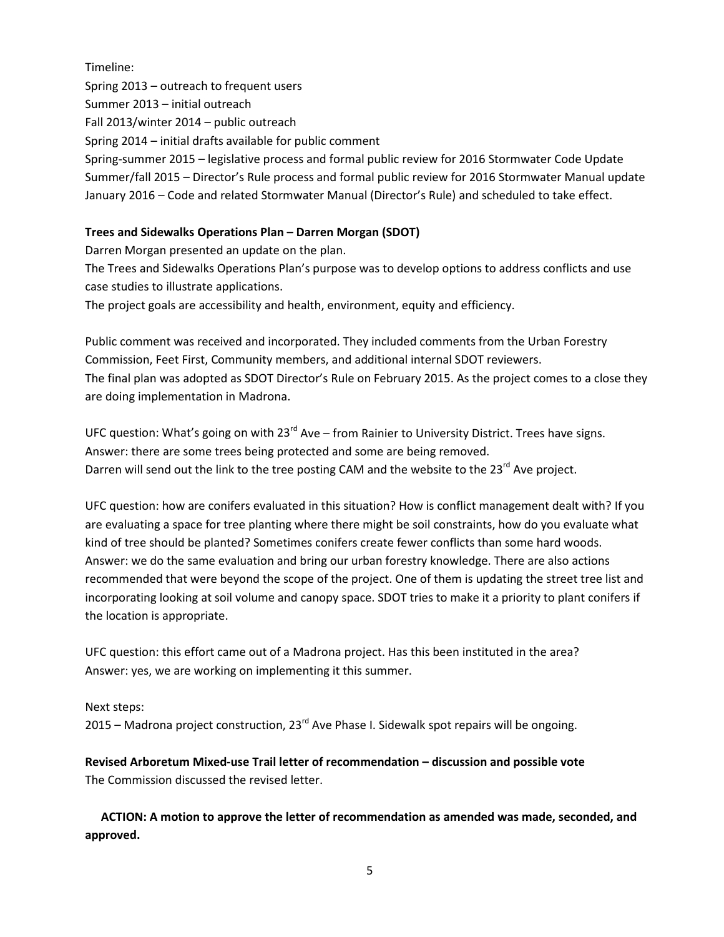Timeline: Spring 2013 – outreach to frequent users Summer 2013 – initial outreach Fall 2013/winter 2014 – public outreach Spring 2014 – initial drafts available for public comment Spring-summer 2015 – legislative process and formal public review for 2016 Stormwater Code Update Summer/fall 2015 – Director's Rule process and formal public review for 2016 Stormwater Manual update January 2016 – Code and related Stormwater Manual (Director's Rule) and scheduled to take effect.

# **Trees and Sidewalks Operations Plan – Darren Morgan (SDOT)**

Darren Morgan presented an update on the plan.

The Trees and Sidewalks Operations Plan's purpose was to develop options to address conflicts and use case studies to illustrate applications.

The project goals are accessibility and health, environment, equity and efficiency.

Public comment was received and incorporated. They included comments from the Urban Forestry Commission, Feet First, Community members, and additional internal SDOT reviewers. The final plan was adopted as SDOT Director's Rule on February 2015. As the project comes to a close they are doing implementation in Madrona.

UFC question: What's going on with  $23^{rd}$  Ave – from Rainier to University District. Trees have signs. Answer: there are some trees being protected and some are being removed. Darren will send out the link to the tree posting CAM and the website to the 23<sup>rd</sup> Ave project.

UFC question: how are conifers evaluated in this situation? How is conflict management dealt with? If you are evaluating a space for tree planting where there might be soil constraints, how do you evaluate what kind of tree should be planted? Sometimes conifers create fewer conflicts than some hard woods. Answer: we do the same evaluation and bring our urban forestry knowledge. There are also actions recommended that were beyond the scope of the project. One of them is updating the street tree list and incorporating looking at soil volume and canopy space. SDOT tries to make it a priority to plant conifers if the location is appropriate.

UFC question: this effort came out of a Madrona project. Has this been instituted in the area? Answer: yes, we are working on implementing it this summer.

Next steps: 2015 – Madrona project construction,  $23^{\text{rd}}$  Ave Phase I. Sidewalk spot repairs will be ongoing.

**Revised Arboretum Mixed-use Trail letter of recommendation – discussion and possible vote** The Commission discussed the revised letter.

**ACTION: A motion to approve the letter of recommendation as amended was made, seconded, and approved.**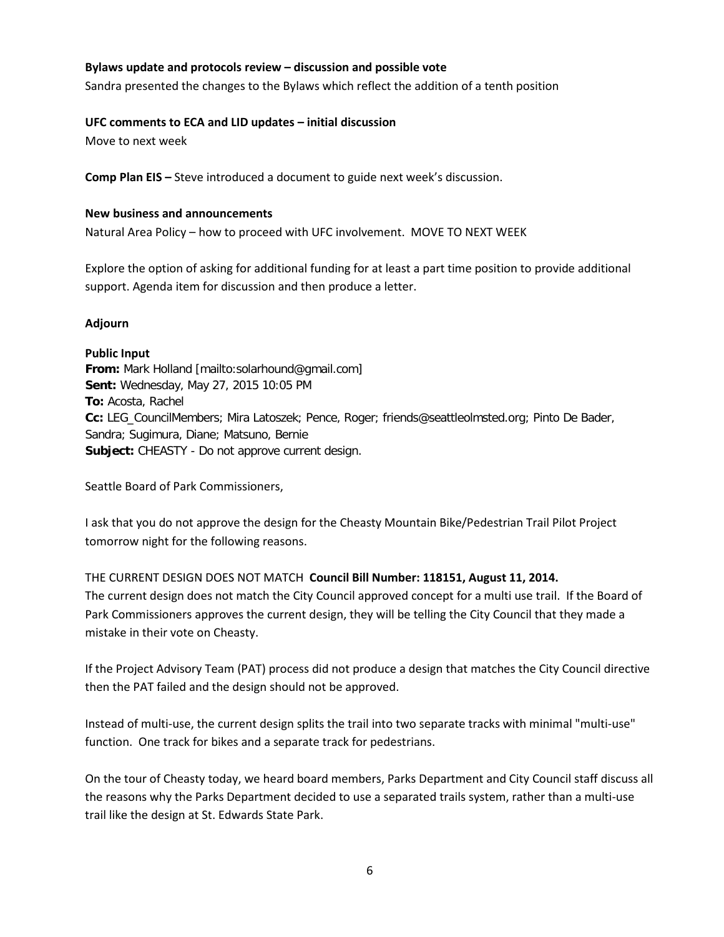## **Bylaws update and protocols review – discussion and possible vote**

Sandra presented the changes to the Bylaws which reflect the addition of a tenth position

#### **UFC comments to ECA and LID updates – initial discussion**

Move to next week

**Comp Plan EIS –** Steve introduced a document to guide next week's discussion.

### **New business and announcements**

Natural Area Policy – how to proceed with UFC involvement. MOVE TO NEXT WEEK

Explore the option of asking for additional funding for at least a part time position to provide additional support. Agenda item for discussion and then produce a letter.

# **Adjourn**

**Public Input From:** Mark Holland [mailto:solarhound@gmail.com] **Sent:** Wednesday, May 27, 2015 10:05 PM **To:** Acosta, Rachel **Cc:** LEG\_CouncilMembers; Mira Latoszek; Pence, Roger; friends@seattleolmsted.org; Pinto De Bader, Sandra; Sugimura, Diane; Matsuno, Bernie **Subject:** CHEASTY - Do not approve current design.

Seattle Board of Park Commissioners,

I ask that you do not approve the design for the Cheasty Mountain Bike/Pedestrian Trail Pilot Project tomorrow night for the following reasons.

THE CURRENT DESIGN DOES NOT MATCH **Council Bill Number: 118151, August 11, 2014.** The current design does not match the City Council approved concept for a multi use trail. If the Board of Park Commissioners approves the current design, they will be telling the City Council that they made a mistake in their vote on Cheasty.

If the Project Advisory Team (PAT) process did not produce a design that matches the City Council directive then the PAT failed and the design should not be approved.

Instead of multi-use, the current design splits the trail into two separate tracks with minimal "multi-use" function. One track for bikes and a separate track for pedestrians.

On the tour of Cheasty today, we heard board members, Parks Department and City Council staff discuss all the reasons why the Parks Department decided to use a separated trails system, rather than a multi-use trail like the design at St. Edwards State Park.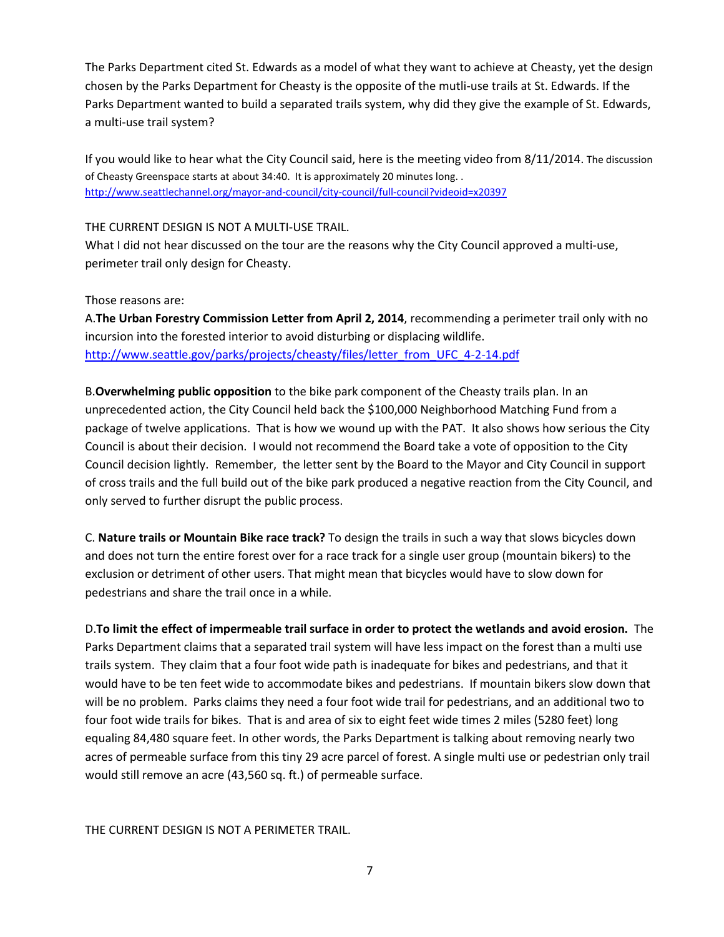The Parks Department cited St. Edwards as a model of what they want to achieve at Cheasty, yet the design chosen by the Parks Department for Cheasty is the opposite of the mutli-use trails at St. Edwards. If the Parks Department wanted to build a separated trails system, why did they give the example of St. Edwards, a multi-use trail system?

If you would like to hear what the City Council said, here is the meeting video from 8/11/2014. The discussion of Cheasty Greenspace starts at about 34:40. It is approximately 20 minutes long. . <http://www.seattlechannel.org/mayor-and-council/city-council/full-council?videoid=x20397>

### THE CURRENT DESIGN IS NOT A MULTI-USE TRAIL.

What I did not hear discussed on the tour are the reasons why the City Council approved a multi-use, perimeter trail only design for Cheasty.

Those reasons are:

A.**The Urban Forestry Commission Letter from April 2, 2014**, recommending a perimeter trail only with no incursion into the forested interior to avoid disturbing or displacing wildlife. [http://www.seattle.gov/parks/projects/cheasty/files/letter\\_from\\_UFC\\_4-2-14.pdf](http://www.seattle.gov/parks/projects/cheasty/files/letter_from_UFC_4-2-14.pdf)

B.**Overwhelming public opposition** to the bike park component of the Cheasty trails plan. In an unprecedented action, the City Council held back the \$100,000 Neighborhood Matching Fund from a package of twelve applications. That is how we wound up with the PAT. It also shows how serious the City Council is about their decision. I would not recommend the Board take a vote of opposition to the City Council decision lightly. Remember, the letter sent by the Board to the Mayor and City Council in support of cross trails and the full build out of the bike park produced a negative reaction from the City Council, and only served to further disrupt the public process.

C. **Nature trails or Mountain Bike race track?** To design the trails in such a way that slows bicycles down and does not turn the entire forest over for a race track for a single user group (mountain bikers) to the exclusion or detriment of other users. That might mean that bicycles would have to slow down for pedestrians and share the trail once in a while.

D.**To limit the effect of impermeable trail surface in order to protect the wetlands and avoid erosion.** The Parks Department claims that a separated trail system will have less impact on the forest than a multi use trails system. They claim that a four foot wide path is inadequate for bikes and pedestrians, and that it would have to be ten feet wide to accommodate bikes and pedestrians. If mountain bikers slow down that will be no problem. Parks claims they need a four foot wide trail for pedestrians, and an additional two to four foot wide trails for bikes. That is and area of six to eight feet wide times 2 miles (5280 feet) long equaling 84,480 square feet. In other words, the Parks Department is talking about removing nearly two acres of permeable surface from this tiny 29 acre parcel of forest. A single multi use or pedestrian only trail would still remove an acre (43,560 sq. ft.) of permeable surface.

THE CURRENT DESIGN IS NOT A PERIMETER TRAIL.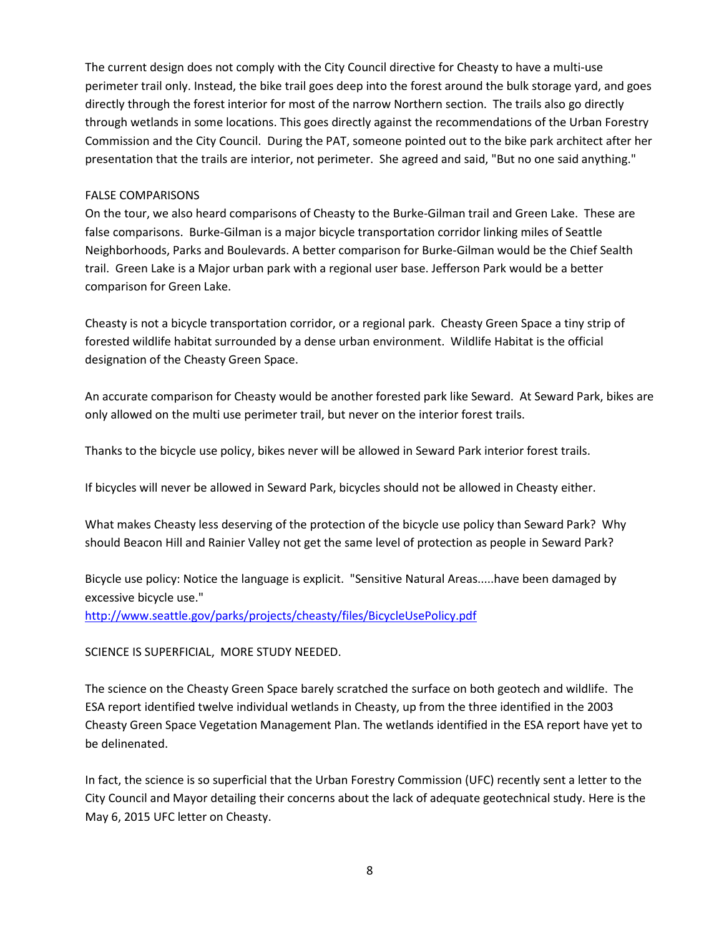The current design does not comply with the City Council directive for Cheasty to have a multi-use perimeter trail only. Instead, the bike trail goes deep into the forest around the bulk storage yard, and goes directly through the forest interior for most of the narrow Northern section. The trails also go directly through wetlands in some locations. This goes directly against the recommendations of the Urban Forestry Commission and the City Council. During the PAT, someone pointed out to the bike park architect after her presentation that the trails are interior, not perimeter. She agreed and said, "But no one said anything."

### FALSE COMPARISONS

On the tour, we also heard comparisons of Cheasty to the Burke-Gilman trail and Green Lake. These are false comparisons. Burke-Gilman is a major bicycle transportation corridor linking miles of Seattle Neighborhoods, Parks and Boulevards. A better comparison for Burke-Gilman would be the Chief Sealth trail. Green Lake is a Major urban park with a regional user base. Jefferson Park would be a better comparison for Green Lake.

Cheasty is not a bicycle transportation corridor, or a regional park. Cheasty Green Space a tiny strip of forested wildlife habitat surrounded by a dense urban environment. Wildlife Habitat is the official designation of the Cheasty Green Space.

An accurate comparison for Cheasty would be another forested park like Seward. At Seward Park, bikes are only allowed on the multi use perimeter trail, but never on the interior forest trails.

Thanks to the bicycle use policy, bikes never will be allowed in Seward Park interior forest trails.

If bicycles will never be allowed in Seward Park, bicycles should not be allowed in Cheasty either.

What makes Cheasty less deserving of the protection of the bicycle use policy than Seward Park? Why should Beacon Hill and Rainier Valley not get the same level of protection as people in Seward Park?

Bicycle use policy: Notice the language is explicit. "Sensitive Natural Areas.....have been damaged by excessive bicycle use."

<http://www.seattle.gov/parks/projects/cheasty/files/BicycleUsePolicy.pdf>

SCIENCE IS SUPERFICIAL, MORE STUDY NEEDED.

The science on the Cheasty Green Space barely scratched the surface on both geotech and wildlife. The ESA report identified twelve individual wetlands in Cheasty, up from the three identified in the 2003 Cheasty Green Space Vegetation Management Plan. The wetlands identified in the ESA report have yet to be delinenated.

In fact, the science is so superficial that the Urban Forestry Commission (UFC) recently sent a letter to the City Council and Mayor detailing their concerns about the lack of adequate geotechnical study. Here is the May 6, 2015 UFC letter on Cheasty.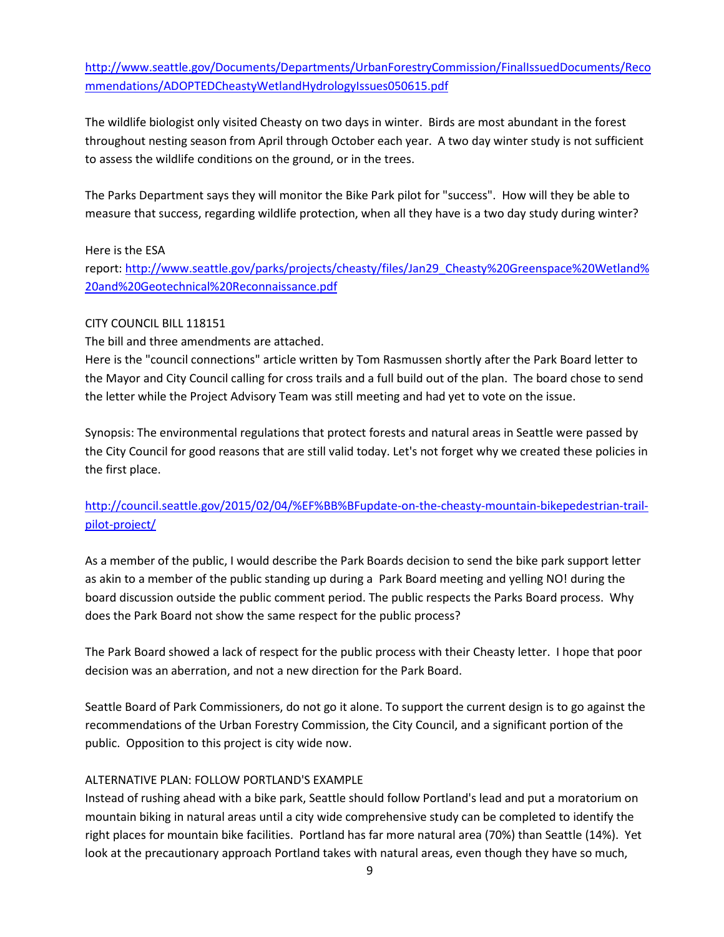[http://www.seattle.gov/Documents/Departments/UrbanForestryCommission/FinalIssuedDocuments/Reco](http://www.seattle.gov/Documents/Departments/UrbanForestryCommission/FinalIssuedDocuments/Recommendations/ADOPTEDCheastyWetlandHydrologyIssues050615.pdf) [mmendations/ADOPTEDCheastyWetlandHydrologyIssues050615.pdf](http://www.seattle.gov/Documents/Departments/UrbanForestryCommission/FinalIssuedDocuments/Recommendations/ADOPTEDCheastyWetlandHydrologyIssues050615.pdf)

The wildlife biologist only visited Cheasty on two days in winter. Birds are most abundant in the forest throughout nesting season from April through October each year. A two day winter study is not sufficient to assess the wildlife conditions on the ground, or in the trees.

The Parks Department says they will monitor the Bike Park pilot for "success". How will they be able to measure that success, regarding wildlife protection, when all they have is a two day study during winter?

# Here is the ESA

report: [http://www.seattle.gov/parks/projects/cheasty/files/Jan29\\_Cheasty%20Greenspace%20Wetland%](http://www.seattle.gov/parks/projects/cheasty/files/Jan29_Cheasty%20Greenspace%20Wetland%20and%20Geotechnical%20Reconnaissance.pdf) [20and%20Geotechnical%20Reconnaissance.pdf](http://www.seattle.gov/parks/projects/cheasty/files/Jan29_Cheasty%20Greenspace%20Wetland%20and%20Geotechnical%20Reconnaissance.pdf)

# CITY COUNCIL BILL 118151

The bill and three amendments are attached.

Here is the "council connections" article written by Tom Rasmussen shortly after the Park Board letter to the Mayor and City Council calling for cross trails and a full build out of the plan. The board chose to send the letter while the Project Advisory Team was still meeting and had yet to vote on the issue.

Synopsis: The environmental regulations that protect forests and natural areas in Seattle were passed by the City Council for good reasons that are still valid today. Let's not forget why we created these policies in the first place.

# [http://council.seattle.gov/2015/02/04/%EF%BB%BFupdate-on-the-cheasty-mountain-bikepedestrian-trail](http://council.seattle.gov/2015/02/04/%EF%BB%BFupdate-on-the-cheasty-mountain-bikepedestrian-trail-pilot-project/)[pilot-project/](http://council.seattle.gov/2015/02/04/%EF%BB%BFupdate-on-the-cheasty-mountain-bikepedestrian-trail-pilot-project/)

As a member of the public, I would describe the Park Boards decision to send the bike park support letter as akin to a member of the public standing up during a Park Board meeting and yelling NO! during the board discussion outside the public comment period. The public respects the Parks Board process. Why does the Park Board not show the same respect for the public process?

The Park Board showed a lack of respect for the public process with their Cheasty letter. I hope that poor decision was an aberration, and not a new direction for the Park Board.

Seattle Board of Park Commissioners, do not go it alone. To support the current design is to go against the recommendations of the Urban Forestry Commission, the City Council, and a significant portion of the public. Opposition to this project is city wide now.

# ALTERNATIVE PLAN: FOLLOW PORTLAND'S EXAMPLE

Instead of rushing ahead with a bike park, Seattle should follow Portland's lead and put a moratorium on mountain biking in natural areas until a city wide comprehensive study can be completed to identify the right places for mountain bike facilities. Portland has far more natural area (70%) than Seattle (14%). Yet look at the precautionary approach Portland takes with natural areas, even though they have so much,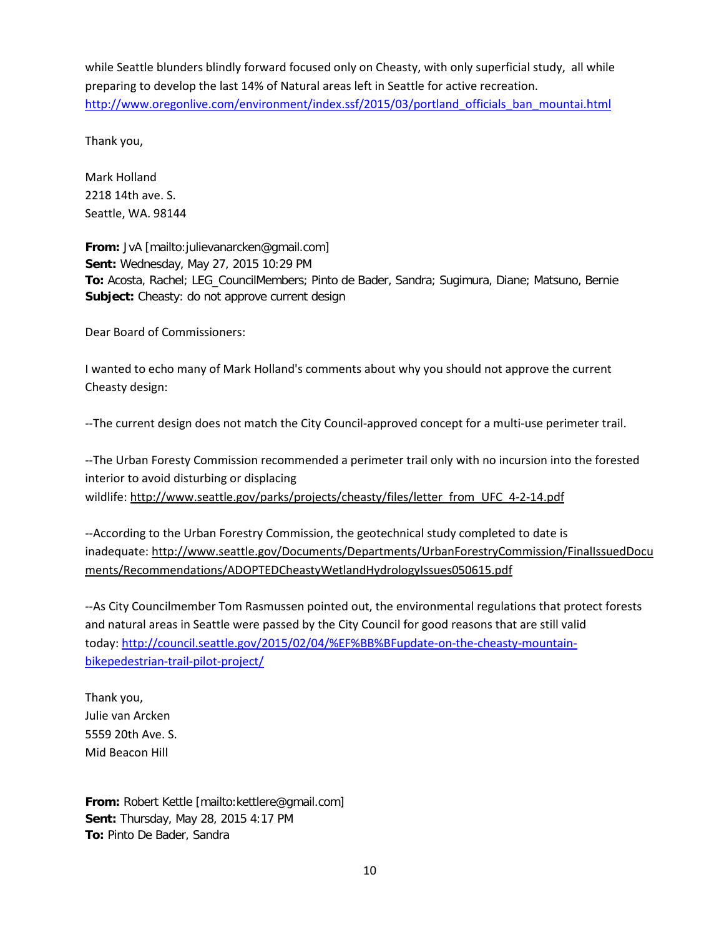while Seattle blunders blindly forward focused only on Cheasty, with only superficial study, all while preparing to develop the last 14% of Natural areas left in Seattle for active recreation. [http://www.oregonlive.com/environment/index.ssf/2015/03/portland\\_officials\\_ban\\_mountai.html](http://www.oregonlive.com/environment/index.ssf/2015/03/portland_officials_ban_mountai.html)

Thank you,

Mark Holland 2218 14th ave. S. Seattle, WA. 98144

**From:** JvA [mailto:julievanarcken@gmail.com] **Sent:** Wednesday, May 27, 2015 10:29 PM **To:** Acosta, Rachel; LEG\_CouncilMembers; Pinto de Bader, Sandra; Sugimura, Diane; Matsuno, Bernie **Subject:** Cheasty: do not approve current design

Dear Board of Commissioners:

I wanted to echo many of Mark Holland's comments about why you should not approve the current Cheasty design:

--The current design does not match the City Council-approved concept for a multi-use perimeter trail.

--The Urban Foresty Commission recommended a perimeter trail only with no incursion into the forested interior to avoid disturbing or displacing wildlife: [http://www.seattle.gov/parks/projects/cheasty/files/letter\\_from\\_UFC\\_4-2-14.pdf](http://www.seattle.gov/parks/projects/cheasty/files/letter_from_UFC_4-2-14.pdf)

--According to the Urban Forestry Commission, the geotechnical study completed to date is inadequate: [http://www.seattle.gov/Documents/Departments/UrbanForestryCommission/FinalIssuedDocu](http://www.seattle.gov/Documents/Departments/UrbanForestryCommission/FinalIssuedDocuments/Recommendations/ADOPTEDCheastyWetlandHydrologyIssues050615.pdf) [ments/Recommendations/ADOPTEDCheastyWetlandHydrologyIssues050615.pdf](http://www.seattle.gov/Documents/Departments/UrbanForestryCommission/FinalIssuedDocuments/Recommendations/ADOPTEDCheastyWetlandHydrologyIssues050615.pdf)

--As City Councilmember Tom Rasmussen pointed out, the environmental regulations that protect forests and natural areas in Seattle were passed by the City Council for good reasons that are still valid today: [http://council.seattle.gov/2015/02/04/%EF%BB%BFupdate-on-the-cheasty-mountain](http://council.seattle.gov/2015/02/04/%EF%BB%BFupdate-on-the-cheasty-mountain-bikepedestrian-trail-pilot-project/)[bikepedestrian-trail-pilot-project/](http://council.seattle.gov/2015/02/04/%EF%BB%BFupdate-on-the-cheasty-mountain-bikepedestrian-trail-pilot-project/)

Thank you, Julie van Arcken 5559 20th Ave. S. Mid Beacon Hill

**From:** Robert Kettle [mailto:kettlere@gmail.com] **Sent:** Thursday, May 28, 2015 4:17 PM **To:** Pinto De Bader, Sandra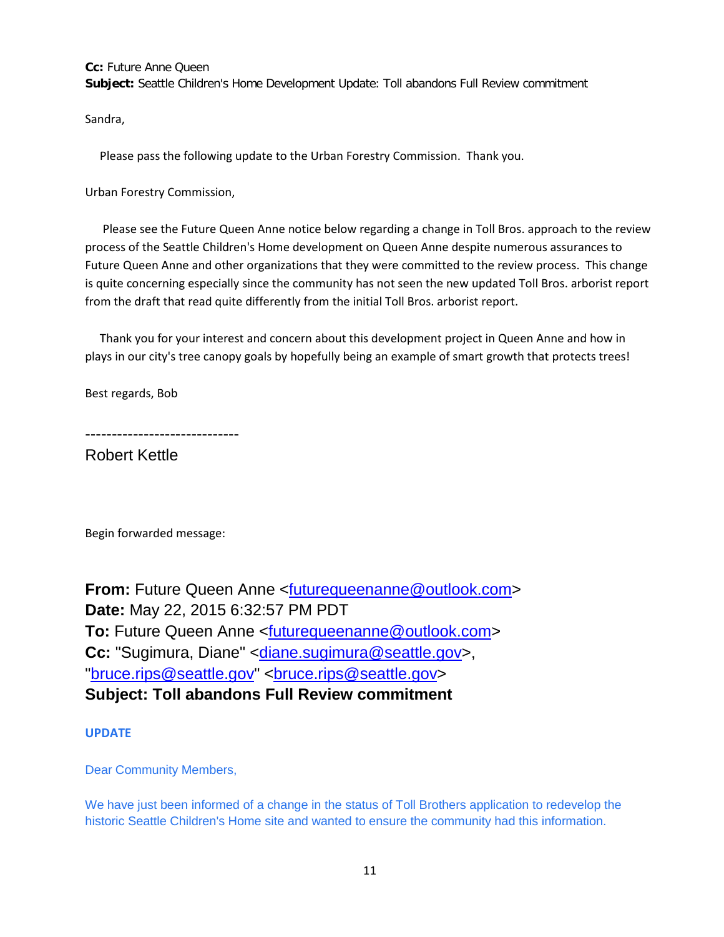**Cc:** Future Anne Queen **Subject:** Seattle Children's Home Development Update: Toll abandons Full Review commitment

Sandra,

Please pass the following update to the Urban Forestry Commission. Thank you.

Urban Forestry Commission,

Please see the Future Queen Anne notice below regarding a change in Toll Bros. approach to the review process of the Seattle Children's Home development on Queen Anne despite numerous assurances to Future Queen Anne and other organizations that they were committed to the review process. This change is quite concerning especially since the community has not seen the new updated Toll Bros. arborist report from the draft that read quite differently from the initial Toll Bros. arborist report.

Thank you for your interest and concern about this development project in Queen Anne and how in plays in our city's tree canopy goals by hopefully being an example of smart growth that protects trees!

Best regards, Bob

-----------------------------

Robert Kettle

Begin forwarded message:

**From:** Future Queen Anne [<futurequeenanne@outlook.com>](mailto:futurequeenanne@outlook.com) **Date:** May 22, 2015 6:32:57 PM PDT **To:** Future Queen Anne [<futurequeenanne@outlook.com>](mailto:futurequeenanne@outlook.com) **Cc:** "Sugimura, Diane" [<diane.sugimura@seattle.gov>](mailto:diane.sugimura@seattle.gov), ["bruce.rips@seattle.gov"](mailto:bruce.rips@seattle.gov) [<bruce.rips@seattle.gov>](mailto:bruce.rips@seattle.gov) **Subject: Toll abandons Full Review commitment**

**UPDATE**

Dear Community Members,

We have just been informed of a change in the status of Toll Brothers application to redevelop the historic Seattle Children's Home site and wanted to ensure the community had this information.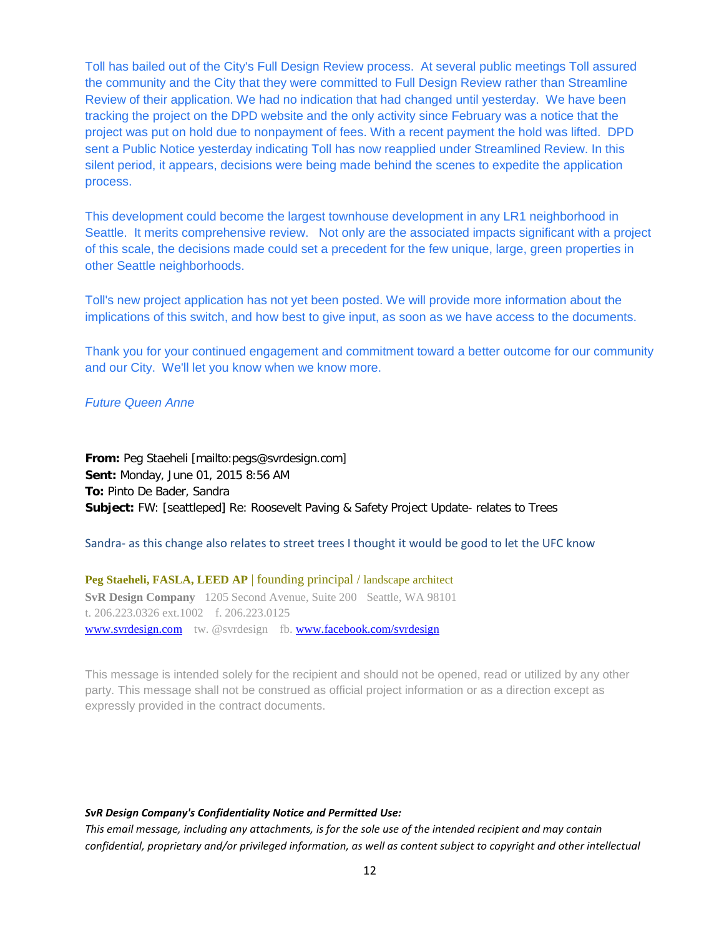Toll has bailed out of the City's Full Design Review process. At several public meetings Toll assured the community and the City that they were committed to Full Design Review rather than Streamline Review of their application. We had no indication that had changed until yesterday. We have been tracking the project on the DPD website and the only activity since February was a notice that the project was put on hold due to nonpayment of fees. With a recent payment the hold was lifted. DPD sent a Public Notice yesterday indicating Toll has now reapplied under Streamlined Review. In this silent period, it appears, decisions were being made behind the scenes to expedite the application process.

This development could become the largest townhouse development in any LR1 neighborhood in Seattle. It merits comprehensive review. Not only are the associated impacts significant with a project of this scale, the decisions made could set a precedent for the few unique, large, green properties in other Seattle neighborhoods.

Toll's new project application has not yet been posted. We will provide more information about the implications of this switch, and how best to give input, as soon as we have access to the documents.

Thank you for your continued engagement and commitment toward a better outcome for our community and our City. We'll let you know when we know more.

#### *Future Queen Anne*

**From:** Peg Staeheli [mailto:pegs@svrdesign.com] **Sent:** Monday, June 01, 2015 8:56 AM **To:** Pinto De Bader, Sandra **Subject:** FW: [seattleped] Re: Roosevelt Paving & Safety Project Update- relates to Trees

Sandra- as this change also relates to street trees I thought it would be good to let the UFC know

**Peg Staeheli, FASLA, LEED AP** | founding principal / landscape architect **SvR Design Company** 1205 Second Avenue, Suite 200 Seattle, WA 98101 t. 206.223.0326 ext.1002 f. 206.223.0125 [www.svrdesign.com](http://www.svrdesign.com/) tw. @svrdesign fb. [www.facebook.com/svrdesign](http://www.facebook.com/svrdesign)

This message is intended solely for the recipient and should not be opened, read or utilized by any other party. This message shall not be construed as official project information or as a direction except as expressly provided in the contract documents.

#### *SvR Design Company's Confidentiality Notice and Permitted Use:*

*This email message, including any attachments, is for the sole use of the intended recipient and may contain confidential, proprietary and/or privileged information, as well as content subject to copyright and other intellectual*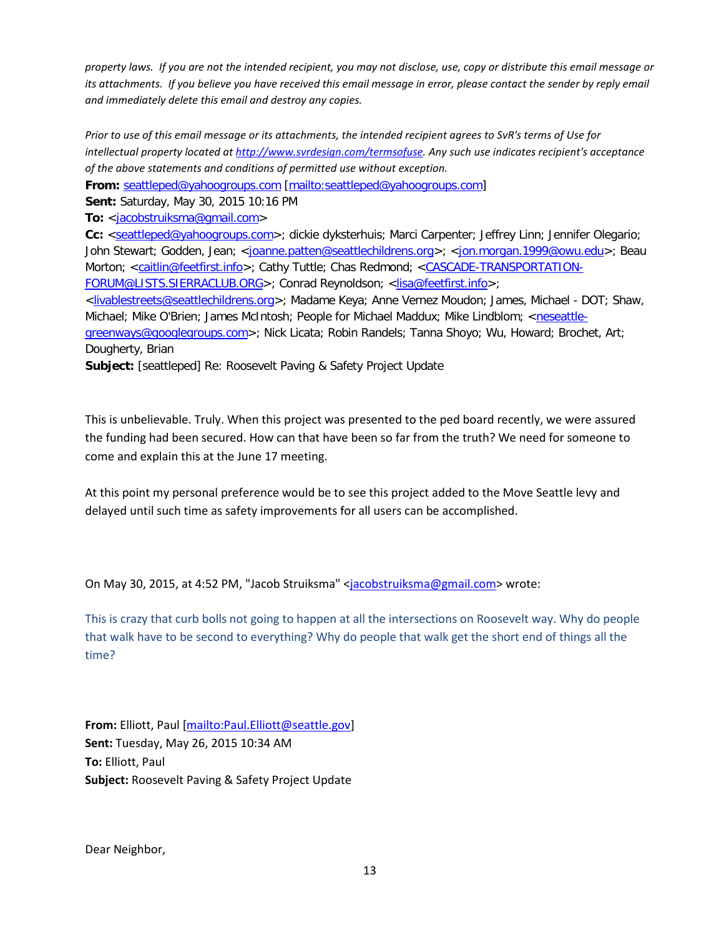*property laws. If you are not the intended recipient, you may not disclose, use, copy or distribute this email message or its attachments. If you believe you have received this email message in error, please contact the sender by reply email and immediately delete this email and destroy any copies.*

*Prior to use of this email message or its attachments, the intended recipient agrees to SvR's terms of Use for intellectual property located a[t http://www.svrdesign.com/termsofuse.](http://www.svrdesign.com/termsofuse) Any such use indicates recipient's acceptance of the above statements and conditions of permitted use without exception.*

**From:** [seattleped@yahoogroups.com](mailto:seattleped@yahoogroups.com) [\[mailto:seattleped@yahoogroups.com\]](mailto:seattleped@yahoogroups.com)

**Sent:** Saturday, May 30, 2015 10:16 PM

**To:** [<jacobstruiksma@gmail.com>](mailto:jacobstruiksma@gmail.com)

**Cc:** [<seattleped@yahoogroups.com>](mailto:seattleped@yahoogroups.com); dickie dyksterhuis; Marci Carpenter; Jeffrey Linn; Jennifer Olegario; John Stewart; Godden, Jean; [<joanne.patten@seattlechildrens.org>](mailto:joanne.patten@seattlechildrens.org); [<jon.morgan.1999@owu.edu>](mailto:jon.morgan.1999@owu.edu); Beau Morton; [<caitlin@feetfirst.info>](mailto:caitlin@feetfirst.info); Cathy Tuttle; Chas Redmond; <cASCADE-TRANSPORTATION-[FORUM@LISTS.SIERRACLUB.ORG>](mailto:CASCADE-TRANSPORTATION-FORUM@LISTS.SIERRACLUB.ORG); Conrad Reynoldson; [<lisa@feetfirst.info>](mailto:lisa@feetfirst.info);

[<livablestreets@seattlechildrens.org>](mailto:livablestreets@seattlechildrens.org); Madame Keya; Anne Vernez Moudon; James, Michael - DOT; Shaw, Michael; Mike O'Brien; James McIntosh; People for Michael Maddux; Mike Lindblom; [<neseattle-](mailto:neseattle-greenways@googlegroups.com)

[greenways@googlegroups.com>](mailto:neseattle-greenways@googlegroups.com); Nick Licata; Robin Randels; Tanna Shoyo; Wu, Howard; Brochet, Art; Dougherty, Brian

**Subject:** [seattleped] Re: Roosevelt Paving & Safety Project Update

This is unbelievable. Truly. When this project was presented to the ped board recently, we were assured the funding had been secured. How can that have been so far from the truth? We need for someone to come and explain this at the June 17 meeting.

At this point my personal preference would be to see this project added to the Move Seattle levy and delayed until such time as safety improvements for all users can be accomplished.

On May 30, 2015, at 4:52 PM, "Jacob Struiksma" [<jacobstruiksma@gmail.com>](mailto:jacobstruiksma@gmail.com) wrote:

This is crazy that curb bolls not going to happen at all the intersections on Roosevelt way. Why do people that walk have to be second to everything? Why do people that walk get the short end of things all the time?

**From:** Elliott, Paul [\[mailto:Paul.Elliott@seattle.gov\]](mailto:Paul.Elliott@seattle.gov) **Sent:** Tuesday, May 26, 2015 10:34 AM **To:** Elliott, Paul **Subject:** Roosevelt Paving & Safety Project Update

Dear Neighbor,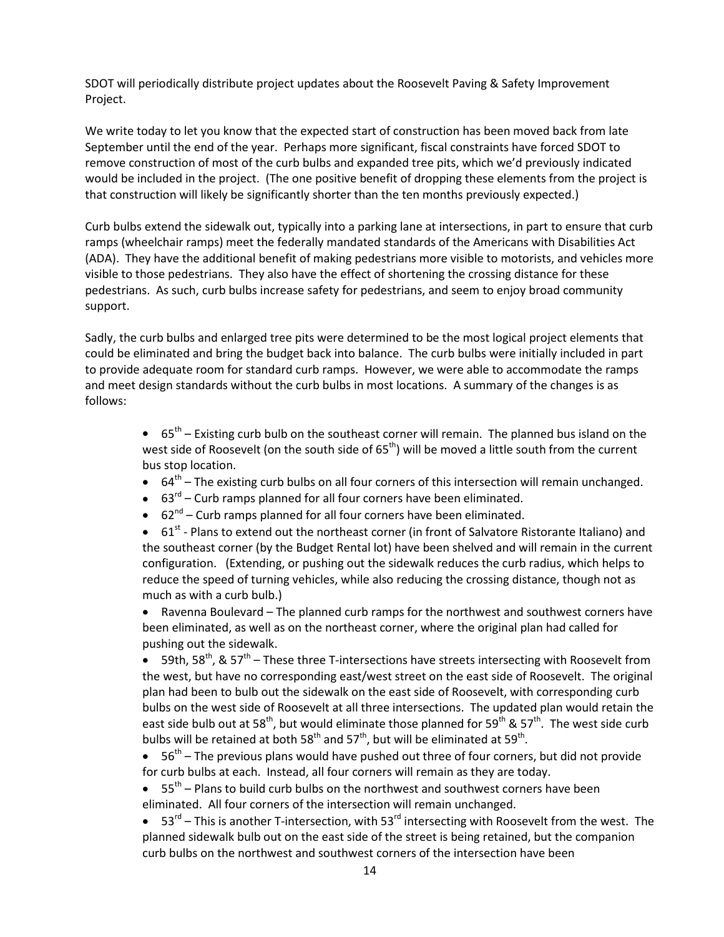SDOT will periodically distribute project updates about the Roosevelt Paving & Safety Improvement Project.

We write today to let you know that the expected start of construction has been moved back from late September until the end of the year. Perhaps more significant, fiscal constraints have forced SDOT to remove construction of most of the curb bulbs and expanded tree pits, which we'd previously indicated would be included in the project. (The one positive benefit of dropping these elements from the project is that construction will likely be significantly shorter than the ten months previously expected.)

Curb bulbs extend the sidewalk out, typically into a parking lane at intersections, in part to ensure that curb ramps (wheelchair ramps) meet the federally mandated standards of the Americans with Disabilities Act (ADA). They have the additional benefit of making pedestrians more visible to motorists, and vehicles more visible to those pedestrians. They also have the effect of shortening the crossing distance for these pedestrians. As such, curb bulbs increase safety for pedestrians, and seem to enjoy broad community support.

Sadly, the curb bulbs and enlarged tree pits were determined to be the most logical project elements that could be eliminated and bring the budget back into balance. The curb bulbs were initially included in part to provide adequate room for standard curb ramps. However, we were able to accommodate the ramps and meet design standards without the curb bulbs in most locations. A summary of the changes is as follows:

> $\bullet$  65<sup>th</sup> – Existing curb bulb on the southeast corner will remain. The planned bus island on the west side of Roosevelt (on the south side of  $65<sup>th</sup>$ ) will be moved a little south from the current bus stop location.

- $\bullet$  64<sup>th</sup> The existing curb bulbs on all four corners of this intersection will remain unchanged.
- $\bullet$  63<sup>rd</sup> Curb ramps planned for all four corners have been eliminated.
- $\bullet$  62<sup>nd</sup> Curb ramps planned for all four corners have been eliminated.

•  $61^{st}$  - Plans to extend out the northeast corner (in front of Salvatore Ristorante Italiano) and the southeast corner (by the Budget Rental lot) have been shelved and will remain in the current configuration. (Extending, or pushing out the sidewalk reduces the curb radius, which helps to reduce the speed of turning vehicles, while also reducing the crossing distance, though not as much as with a curb bulb.)

• Ravenna Boulevard – The planned curb ramps for the northwest and southwest corners have been eliminated, as well as on the northeast corner, where the original plan had called for pushing out the sidewalk.

• 59th, 58<sup>th</sup>, & 57<sup>th</sup> – These three T-intersections have streets intersecting with Roosevelt from the west, but have no corresponding east/west street on the east side of Roosevelt. The original plan had been to bulb out the sidewalk on the east side of Roosevelt, with corresponding curb bulbs on the west side of Roosevelt at all three intersections. The updated plan would retain the east side bulb out at 58<sup>th</sup>, but would eliminate those planned for 59<sup>th</sup> & 57<sup>th</sup>. The west side curb bulbs will be retained at both  $58<sup>th</sup>$  and  $57<sup>th</sup>$ , but will be eliminated at  $59<sup>th</sup>$ .

- $\bullet$  56<sup>th</sup> The previous plans would have pushed out three of four corners, but did not provide for curb bulbs at each. Instead, all four corners will remain as they are today.
- $\bullet$  55<sup>th</sup> Plans to build curb bulbs on the northwest and southwest corners have been eliminated. All four corners of the intersection will remain unchanged.
- $53^{\text{rd}}$  This is another T-intersection, with  $53^{\text{rd}}$  intersecting with Roosevelt from the west. The planned sidewalk bulb out on the east side of the street is being retained, but the companion curb bulbs on the northwest and southwest corners of the intersection have been